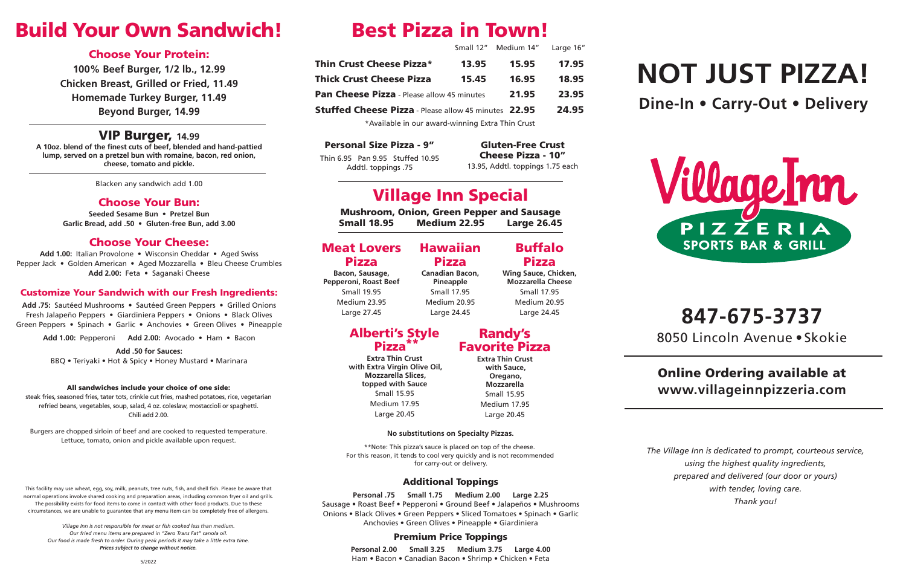# **847-675-3737**

8050 Lincoln Avenue • Skokie

## Online Ordering available at **www.villageinnpizzeria.com**

# **NOT JUST PIZZA! Dine-In • Carry-Out • Delivery**



*The Village Inn is dedicated to prompt, courteous service, using the highest quality ingredients, prepared and delivered (our door or yours) with tender, loving care. Thank you!*

#### All sandwiches include your choice of one side:

steak fries, seasoned fries, tater tots, crinkle cut fries, mashed potatoes, rice, vegetarian refried beans, vegetables, soup, salad, 4 oz. coleslaw, mostaccioli or spaghetti. Chili add 2.00.

Burgers are chopped sirloin of beef and are cooked to requested temperature. Lettuce, tomato, onion and pickle available upon request.

## Build Your Own Sandwich!

### Choose Your Protein:

**100% Beef Burger, 1/2 lb., 12.99 Chicken Breast, Grilled or Fried, 11.49 Homemade Turkey Burger, 11.49 Beyond Burger, 14.99**

### VIP Burger, **14.99**

**A 10oz. blend of the finest cuts of beef, blended and hand-pattied lump, served on a pretzel bun with romaine, bacon, red onion, cheese, tomato and pickle.**

Blacken any sandwich add 1.00

### Choose Your Bun:

**Seeded Sesame Bun • Pretzel Bun Garlic Bread, add .50 • Gluten-free Bun, add 3.00**

### Choose Your Cheese:

**Add 1.00:** Italian Provolone • Wisconsin Cheddar • Aged Swiss Pepper Jack • Golden American • Aged Mozzarella • Bleu Cheese Crumbles **Add 2.00:** Feta • Saganaki Cheese

#### Customize Your Sandwich with our Fresh Ingredients:

**Add .75:** Sautéed Mushrooms • Sautéed Green Peppers • Grilled Onions Fresh Jalapeño Peppers • Giardiniera Peppers • Onions • Black Olives Green Peppers • Spinach • Garlic • Anchovies • Green Olives • Pineapple

**Add 1.00:** Pepperoni **Add 2.00:** Avocado • Ham • Bacon

**Add .50 for Sauces:** 

BBQ • Teriyaki • Hot & Spicy • Honey Mustard • Marinara

## Best Pizza in Town!

Small 12" Medium 14" Large 16"

| <b>Thin Crust Cheese Pizza*</b>                   | 13.95 | 15.95 | 17.95 |
|---------------------------------------------------|-------|-------|-------|
| <b>Thick Crust Cheese Pizza</b>                   | 15.45 | 16.95 | 18.95 |
| <b>Pan Cheese Pizza</b> - Please allow 45 minutes |       | 21.95 | 23.95 |

**Stuffed Cheese Pizza** - Please allow 45 minutes 22.95 24.95

## Village Inn Special

Mushroom, Onion, Green Pepper and Sausage Small 18.95 Medium 22.95 Large 26.45

#### **No substitutions on Specialty Pizzas.**

#### Personal Size Pizza - 9"

Thin 6.95 Pan 9.95 Stuffed 10.95 Addtl. toppings .75

#### Gluten-Free Crust Cheese Pizza - 10"

13.95, Addtl. toppings 1.75 each

| <b>Meat Lovers</b> | <b>Hawaiian</b> |
|--------------------|-----------------|
| <b>Pizza</b>       | <b>Pizza</b>    |

**Bacon, Sausage, Pepperoni, Roast Beef** Small 19.95 Medium 23.95 Large 27.45

**Canadian Bacon, Pineapple** Small 17.95 Medium 20.95 Large 24.45

Buffalo Pizza **Wing Sauce, Chicken, Mozzarella Cheese** Small 17.95 Medium 20.95 Large 24.45

### Alberti's Style Pizza\*\*

**Extra Thin Crust with Extra Virgin Olive Oil, Mozzarella Slices, topped with Sauce** Small 15.95 Medium 17.95 Large 20.45

Randy's Favorite Pizza **Extra Thin Crust with Sauce, Oregano, Mozzarella** Small 15.95 Medium 17.95 Large 20.45

\*Available in our award-winning Extra Thin Crust

\*\*Note: This pizza's sauce is placed on top of the cheese. For this reason, it tends to cool very quickly and is not recommended for carry-out or delivery.

### Additional Toppings

**Personal .75 Small 1.75 Medium 2.00 Large 2.25** Sausage • Roast Beef • Pepperoni • Ground Beef • Jalapeños • Mushrooms Onions • Black Olives • Green Peppers • Sliced Tomatoes • Spinach • Garlic Anchovies • Green Olives • Pineapple • Giardiniera

#### Premium Price Toppings

**Personal 2.00 Small 3.25 Medium 3.75 Large 4.00** Ham • Bacon • Canadian Bacon • Shrimp • Chicken • Feta



This facility may use wheat, egg, soy, milk, peanuts, tree nuts, fish, and shell fish. Please be aware that normal operations involve shared cooking and preparation areas, including common fryer oil and grills. The possibility exists for food items to come in contact with other food products. Due to these circumstances, we are unable to guarantee that any menu item can be completely free of allergens.

*Village Inn is not responsible for meat or fish cooked less than medium. Our fried menu items are prepared in "Zero Trans Fat" canola oil. Our food is made fresh to order. During peak periods it may take a little extra time. Prices subject to change without notice.*

5/2022